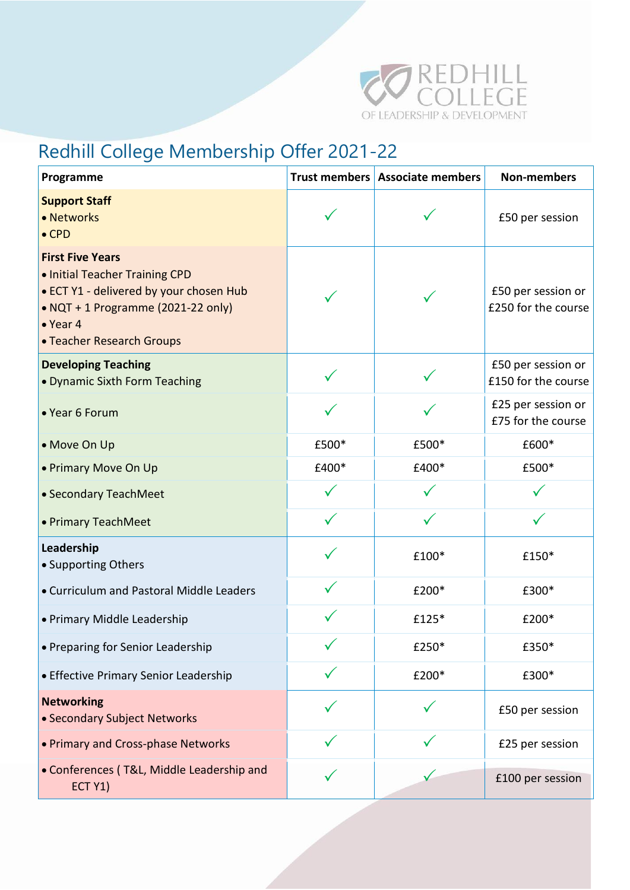

## Redhill College Membership Offer 2021-22

| Programme                                                                                                                                                                                   |       | Trust members Associate members | <b>Non-members</b>                        |
|---------------------------------------------------------------------------------------------------------------------------------------------------------------------------------------------|-------|---------------------------------|-------------------------------------------|
| <b>Support Staff</b><br>• Networks<br>$\bullet$ CPD                                                                                                                                         |       |                                 | £50 per session                           |
| <b>First Five Years</b><br>. Initial Teacher Training CPD<br>• ECT Y1 - delivered by your chosen Hub<br>• NQT + 1 Programme (2021-22 only)<br>$\bullet$ Year 4<br>• Teacher Research Groups |       |                                 | £50 per session or<br>£250 for the course |
| <b>Developing Teaching</b><br>• Dynamic Sixth Form Teaching                                                                                                                                 |       |                                 | £50 per session or<br>£150 for the course |
| • Year 6 Forum                                                                                                                                                                              |       |                                 | £25 per session or<br>£75 for the course  |
| • Move On Up                                                                                                                                                                                | £500* | £500*                           | £600*                                     |
| • Primary Move On Up                                                                                                                                                                        | £400* | £400*                           | £500*                                     |
| • Secondary TeachMeet                                                                                                                                                                       |       |                                 |                                           |
| • Primary TeachMeet                                                                                                                                                                         |       |                                 |                                           |
| Leadership<br>• Supporting Others                                                                                                                                                           |       | £100*                           | £150*                                     |
| • Curriculum and Pastoral Middle Leaders                                                                                                                                                    |       | £200*                           | £300*                                     |
| • Primary Middle Leadership                                                                                                                                                                 |       | £125*                           | £200*                                     |
| • Preparing for Senior Leadership                                                                                                                                                           |       | £250*                           | £350*                                     |
| • Effective Primary Senior Leadership                                                                                                                                                       |       | £200*                           | £300*                                     |
| <b>Networking</b><br>• Secondary Subject Networks                                                                                                                                           |       |                                 | £50 per session                           |
| • Primary and Cross-phase Networks                                                                                                                                                          |       |                                 | £25 per session                           |
| • Conferences (T&L, Middle Leadership and<br>ECT Y1)                                                                                                                                        |       |                                 | £100 per session                          |